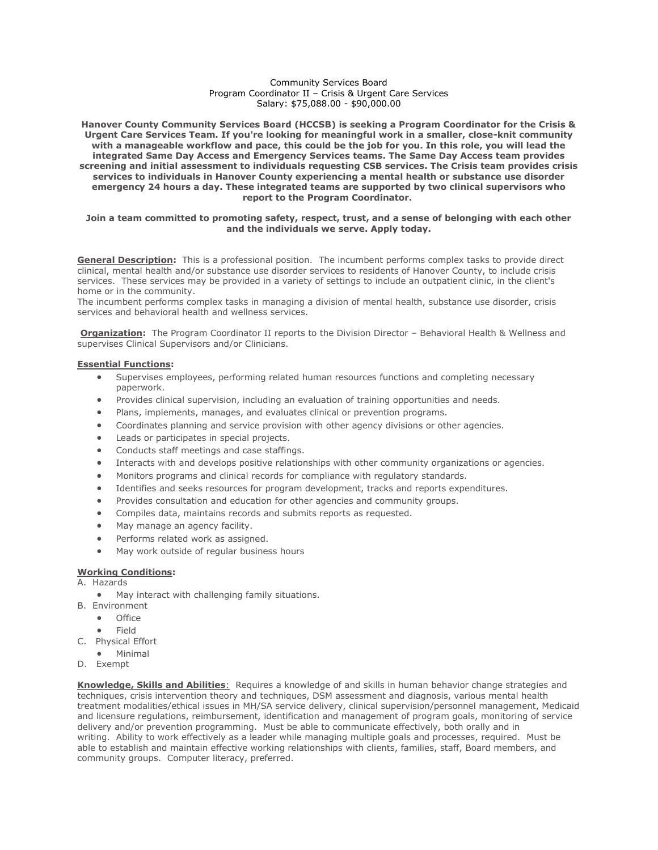### Community Services Board Program Coordinator II – Crisis & Urgent Care Services Salary: \$75,088.00 - \$90,000.00

**Hanover County Community Services Board (HCCSB) is seeking a Program Coordinator for the Crisis & Urgent Care Services Team. If you're looking for meaningful work in a smaller, close-knit community with a manageable workflow and pace, this could be the job for you. In this role, you will lead the integrated Same Day Access and Emergency Services teams. The Same Day Access team provides screening and initial assessment to individuals requesting CSB services. The Crisis team provides crisis services to individuals in Hanover County experiencing a mental health or substance use disorder emergency 24 hours a day. These integrated teams are supported by two clinical supervisors who report to the Program Coordinator.**

### **Join a team committed to promoting safety, respect, trust, and a sense of belonging with each other and the individuals we serve. Apply today.**

**General Description:** This is a professional position. The incumbent performs complex tasks to provide direct clinical, mental health and/or substance use disorder services to residents of Hanover County, to include crisis services. These services may be provided in a variety of settings to include an outpatient clinic, in the client's home or in the community.

The incumbent performs complex tasks in managing a division of mental health, substance use disorder, crisis services and behavioral health and wellness services.

**Organization:** The Program Coordinator II reports to the Division Director – Behavioral Health & Wellness and supervises Clinical Supervisors and/or Clinicians.

## **Essential Functions:**

- Supervises employees, performing related human resources functions and completing necessary paperwork.
- Provides clinical supervision, including an evaluation of training opportunities and needs.
- Plans, implements, manages, and evaluates clinical or prevention programs.
- Coordinates planning and service provision with other agency divisions or other agencies.
- Leads or participates in special projects.
- Conducts staff meetings and case staffings.
- Interacts with and develops positive relationships with other community organizations or agencies.
- Monitors programs and clinical records for compliance with regulatory standards.
- Identifies and seeks resources for program development, tracks and reports expenditures.
- Provides consultation and education for other agencies and community groups.
- Compiles data, maintains records and submits reports as requested.
- May manage an agency facility.
- Performs related work as assigned.
- May work outside of regular business hours

### **Working Conditions:**

- A. Hazards
	- May interact with challenging family situations.
- B. Environment
	- Office
	- Field
- C. Physical Effort
- Minimal
- D. Exempt

**Knowledge, Skills and Abilities**: Requires a knowledge of and skills in human behavior change strategies and techniques, crisis intervention theory and techniques, DSM assessment and diagnosis, various mental health treatment modalities/ethical issues in MH/SA service delivery, clinical supervision/personnel management, Medicaid and licensure regulations, reimbursement, identification and management of program goals, monitoring of service delivery and/or prevention programming. Must be able to communicate effectively, both orally and in writing. Ability to work effectively as a leader while managing multiple goals and processes, required. Must be able to establish and maintain effective working relationships with clients, families, staff, Board members, and community groups. Computer literacy, preferred.